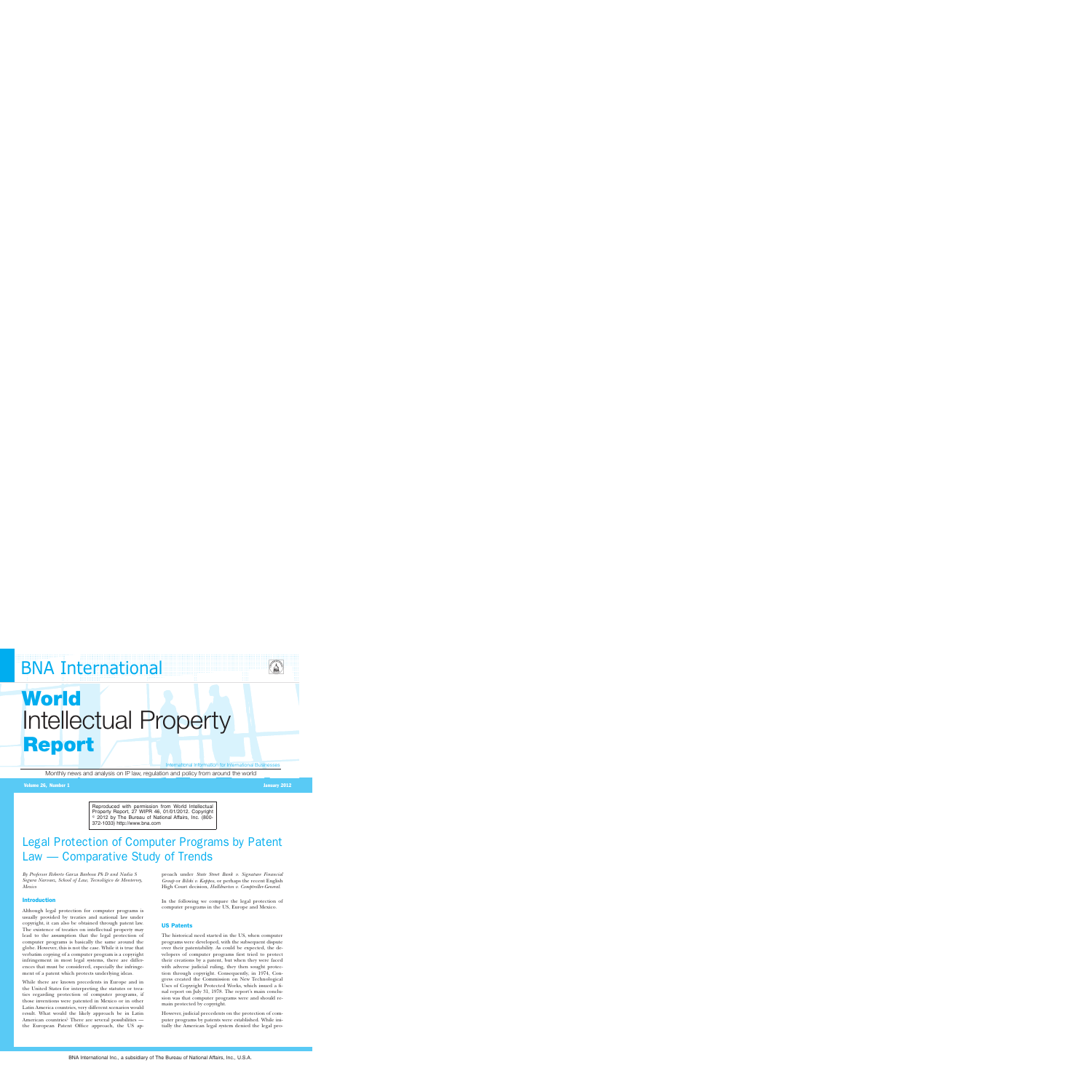## **BNA International**



# **World** Intellectual Property **Report**

International Information for International Businesses

Monthly news and analysis on IP law, regulation and policy from around the world

#### Volume 26, Number 1 January 2012

Reproduced with permission from World Intellectual Property Report, 27 WIPR 46, 01/01/2012. Copyright  $\,{}^{\circ}$  2012 by The Bureau of National Affairs, Inc. (800-372-1033) http://www.bna.com

### Legal Protection of Computer Programs by Patent Law — Comparative Study of Trends

*By Professor Roberto Garza Barbosa Ph D and Nadia S Segura Narvaez, School of Law, Tecnolo´gico de Monterrey, Mexico*

#### Introduction

Although legal protection for computer programs is usually provided by treaties and national law under copyright, it can also be obtained through patent law. The existence of treaties on intellectual property may lead to the assumption that the legal protection of computer programs is basically the same around the globe. However, this is not the case. While it is true that verbatim copying of a computer program is a copyright infringement in most legal systems, there are differences that must be considered, especially the infringement of a patent which protects underlying ideas.

While there are known precedents in Europe and in the United States for interpreting the statutes or treaties regarding protection of computer programs, if those inventions were patented in Mexico or in other Latin America countries, very different scenarios would result. What would the likely approach be in Latin American countries? There are several possibilities the European Patent Office approach, the US approach under *State Street Bank v. Signature Financial Group* or *Bilski v. Kappos*, or perhaps the recent English High Court decision, *Halliburton v. Comptroller-General*.

In the following we compare the legal protection of computer programs in the US, Europe and Mexico.

#### US Patents

The historical need started in the US, when computer programs were developed, with the subsequent dispute over their patentability. As could be expected, the developers of computer programs first tried to protect their creations by a patent, but when they were faced with adverse judicial ruling, they then sought protection through copyright. Consequently, in 1974, Congress created the Commission on New Technological Uses of Copyright Protected Works, which issued a final report on July 31, 1978. The report's main conclusion was that computer programs were and should remain protected by copyright.

However, judicial precedents on the protection of computer programs by patents were established. While initially the American legal system denied the legal pro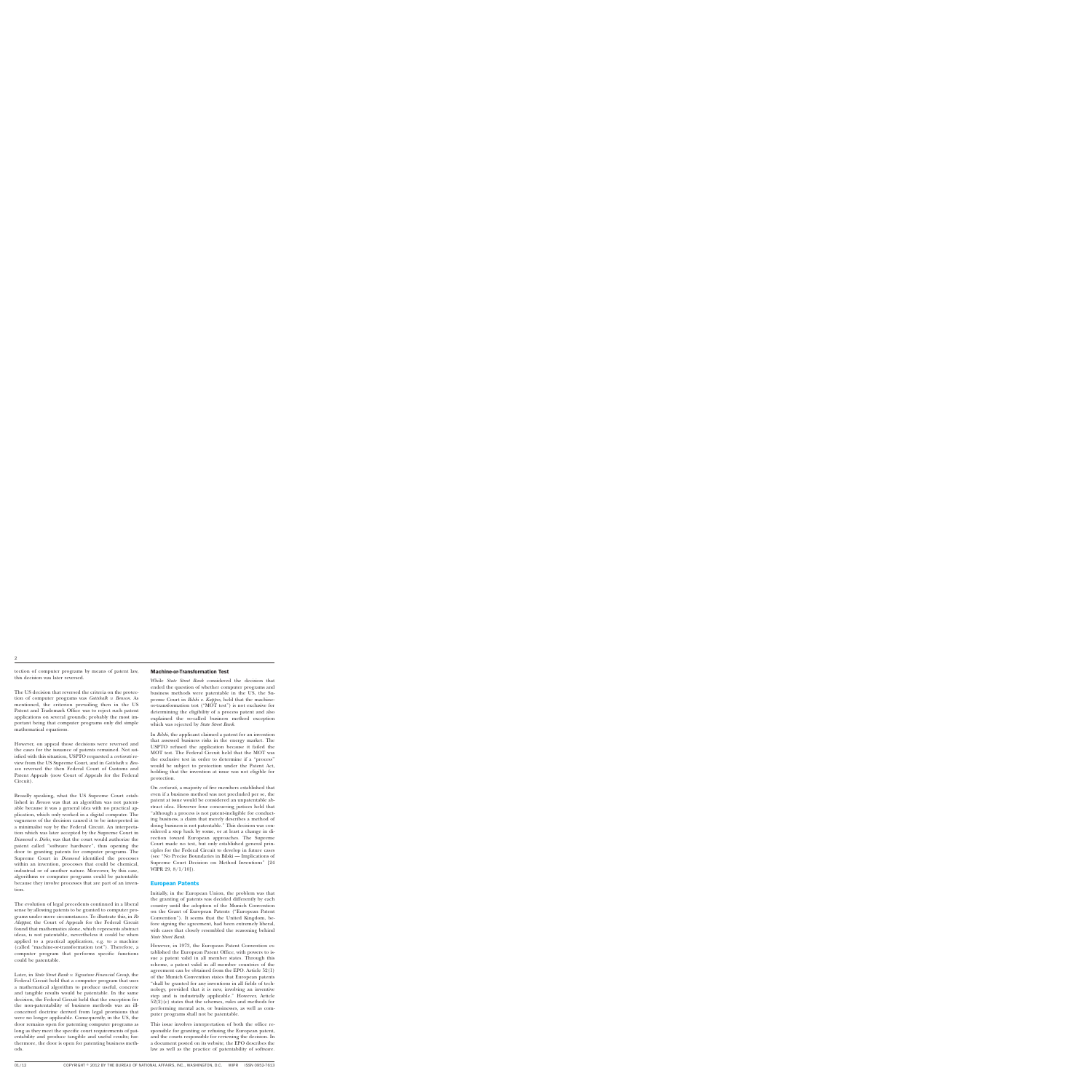tection of computer programs by means of patent law, this decision was later reversed.

The US decision that reversed the criteria on the protection of computer programs was *Gottshalk v. Benson*. As mentioned, the criterion prevailing then in the US Patent and Trademark Office was to reject such patent applications on several grounds; probably the most important being that computer programs only did simple mathematical equations.

However, on appeal those decisions were reversed and the cases for the issuance of patents remained. Not satisfied with this situation, USPTO requested a *certiorati* review from the US Supreme Court, and in *Gottshalk v. Benson* reversed the then Federal Court of Customs and Patent Appeals (now Court of Appeals for the Federal Circuit).

Broadly speaking, what the US Supreme Court established in *Benson* was that an algorithm was not patentable because it was a general idea with no practical application, which only worked in a digital computer. The vagueness of the decision caused it to be interpreted in a minimalist way by the Federal Circuit. An interpretation which was later accepted by the Supreme Court in *Diamond v. Diehr*, was that the court would authorize the patent called ''software hardware'', thus opening the door to granting patents for computer programs. The Supreme Court in *Diamond* identified the processes within an invention, processes that could be chemical, industrial or of another nature. Moreover, by this case, algorithms or computer programs could be patentable because they involve processes that are part of an invention.

The evolution of legal precedents continued in a liberal sense by allowing patents to be granted to computer programs under more circumstances. To illustrate this, in *Re Alappat*, the Court of Appeals for the Federal Circuit found that mathematics alone, which represents abstract ideas, is not patentable, nevertheless it could be when applied to a practical application, e.g. to a machine (called ''machine-or-transformation test''). Therefore, a computer program that performs specific functions could be patentable.

Later, in *State Street Bank v. Signature Financial Group*, the Federal Circuit held that a computer program that uses a mathematical algorithm to produce useful, concrete and tangible results would be patentable. In the same decision, the Federal Circuit held that the exception for the non-patentability of business methods was an illconceived doctrine derived from legal provisions that were no longer applicable. Consequently, in the US, the door remains open for patenting computer programs as long as they meet the specific court requirements of patentability and produce tangible and useful results; furthermore, the door is open for patenting business methods.

#### Machine-or-Transformation Test

While *State Street Bank* considered the decision that ended the question of whether computer programs and business methods were patentable in the US, the Supreme Court in *Bilski v. Kappos*, held that the machineor-transformation test (''MOT test'') is not exclusive for determining the eligibility of a process patent and also explained the so-called business method exception which was rejected by *State Street Bank*.

In *Bilski*, the applicant claimed a patent for an invention that assessed business risks in the energy market. The USPTO refused the application because it failed the MOT test. The Federal Circuit held that the MOT was the exclusive test in order to determine if a ''process'' would be subject to protection under the Patent Act, holding that the invention at issue was not eligible for protection.

On *certiorati*, a majority of five members established that even if a business method was not precluded per se, the patent at issue would be considered an unpatentable abstract idea. However four concurring justices held that ''although a process is not patent-ineligible for conducting business, a claim that merely describes a method of doing business is not patentable.'' This decision was considered a step back by some, or at least a change in direction toward European approaches. The Supreme Court made no test, but only established general principles for the Federal Circuit to develop in future cases (see ''No Precise Boundaries in Bilski — Implications of Supreme Court Decision on Method Inventions'' [24 WIPR 29, 8/1/10]).

#### European Patents

Initially, in the European Union, the problem was that the granting of patents was decided differently by each country until the adoption of the Munich Convention on the Grant of European Patents (''European Patent Convention''). It seems that the United Kingdom, before signing the agreement, had been extremely liberal, with cases that closely resembled the reasoning behind *State Street Bank*.

However, in 1973, the European Patent Convention established the European Patent Office, with powers to issue a patent valid in all member states. Through this scheme, a patent valid in all member countries of the agreement can be obtained from the EPO. Article 52(1) of the Munich Convention states that European patents ''shall be granted for any inventions in all fields of technology, provided that it is new, involving an inventive step and is industrially applicable.'' However, Article  $52(2)(c)$  states that the schemes, rules and methods for performing mental acts, or businesses, as well as computer programs shall not be patentable.

This issue involves interpretation of both the office responsible for granting or refusing the European patent, and the courts responsible for reviewing the decision. In a document posted on its website, the EPO describes the law as well as the practice of patentability of software.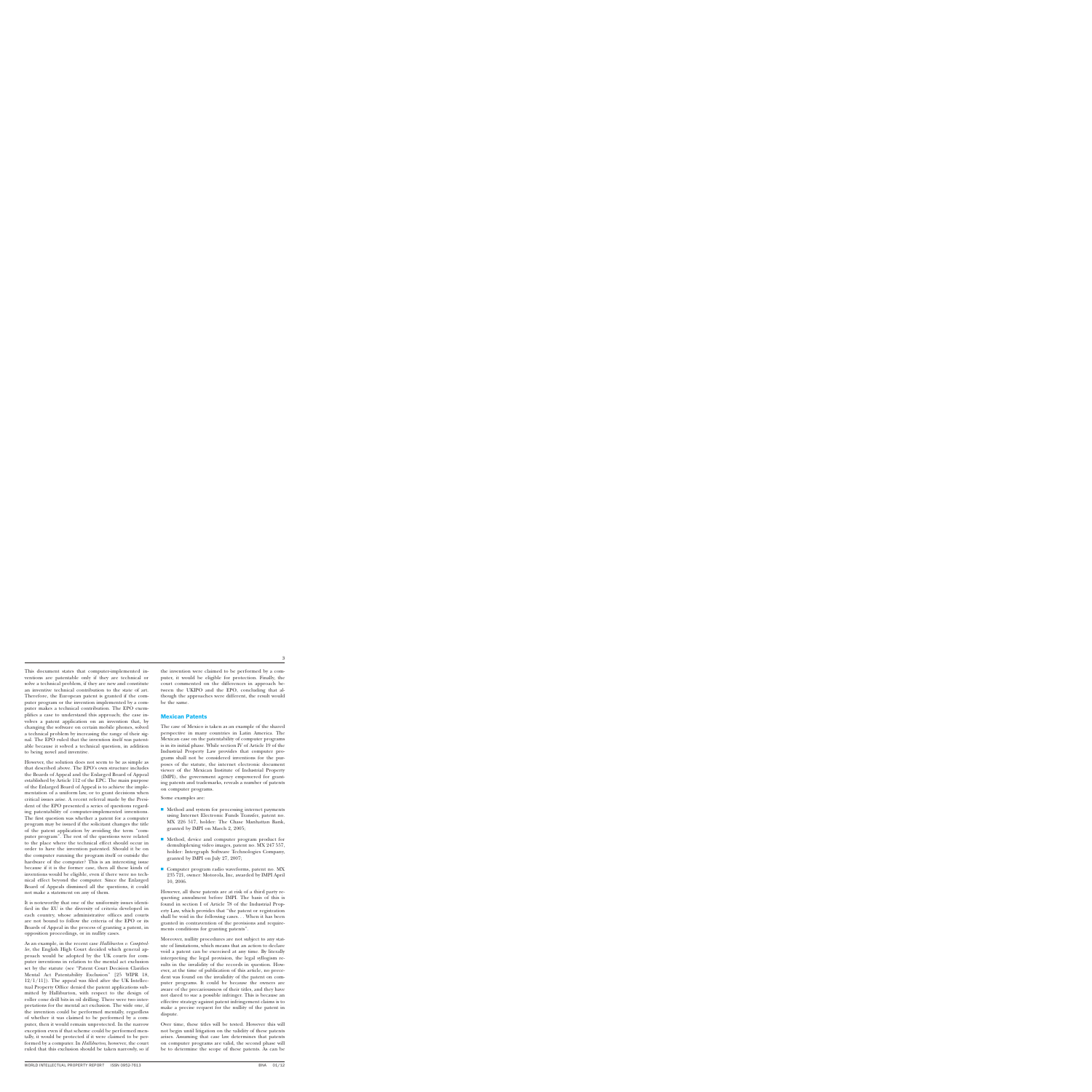This document states that computer-implemented inventions are patentable only if they are technical or solve a technical problem, if they are new and constitute an inventive technical contribution to the state of art. Therefore, the European patent is granted if the computer program or the invention implemented by a computer makes a technical contribution. The EPO exemplifies a case to understand this approach; the case involves a patent application on an invention that, by changing the software on certain mobile phones, solved a technical problem by increasing the range of their signal. The EPO ruled that the invention itself was patentable because it solved a technical question, in addition to being novel and inventive.

However, the solution does not seem to be as simple as that described above. The EPO's own structure includes the Boards of Appeal and the Enlarged Board of Appeal established by Article 112 of the EPC. The main purpose of the Enlarged Board of Appeal is to achieve the implementation of a uniform law, or to grant decisions when critical issues arise. A recent referral made by the President of the EPO presented a series of questions regarding patentability of computer-implemented inventions. The first question was whether a patent for a computer program may be issued if the solicitant changes the title of the patent application by avoiding the term ''computer program''. The rest of the questions were related to the place where the technical effect should occur in order to have the invention patented. Should it be on the computer running the program itself or outside the hardware of the computer? This is an interesting issue because if it is the former case, then all these kinds of inventions would be eligible, even if there were no technical effect beyond the computer. Since the Enlarged Board of Appeals dismissed all the questions, it could not make a statement on any of them.

It is noteworthy that one of the uniformity issues identified in the EU is the diversity of criteria developed in each country, whose administrative offices and courts are not bound to follow the criteria of the EPO or its Boards of Appeal in the process of granting a patent, in opposition proceedings, or in nullity cases.

As an example, in the recent case *Halliburton v. Comptroller*, the English High Court decided which general approach would be adopted by the UK courts for computer inventions in relation to the mental act exclusion set by the statute (see ''Patent Court Decision Clarifies Mental Act Patentability Exclusion'' [25 WIPR 18,  $12/1/11$ ]). The appeal was filed after the UK Intellectual Property Office denied the patent applications submitted by Halliburton, with respect to the design of roller cone drill bits in oil drilling. There were two interpretations for the mental act exclusion. The wide one, if the invention could be performed mentally, regardless of whether it was claimed to be performed by a computer, then it would remain unprotected. In the narrow exception even if that scheme could be performed mentally, it would be protected if it were claimed to be performed by a computer. In *Halliburton*, however, the court ruled that this exclusion should be taken narrowly, so if the invention were claimed to be performed by a computer, it would be eligible for protection. Finally, the court commented on the differences in approach between the UKIPO and the EPO, concluding that although the approaches were different, the result would be the same.

#### Mexican Patents

The case of Mexico is taken as an example of the shared perspective in many countries in Latin America. The Mexican case on the patentability of computer programs is in its initial phase. While section IV of Article 19 of the Industrial Property Law provides that computer programs shall not be considered inventions for the purposes of the statute, the internet electronic document viewer of the Mexican Institute of Industrial Property (IMPI), the government agency empowered for granting patents and trademarks, reveals a number of patents on computer programs.

Some examples are:

- $\blacksquare$  Method and system for processing internet payments using Internet Electronic Funds Transfer, patent no. MX 226 517, holder: The Chase Manhattan Bank, granted by IMPI on March 2, 2005;
- Method, device and computer program product for demultiplexing video images, patent no. MX 247 557, holder: Intergraph Software Technologies Company, granted by IMPI on July 27, 2007;
- Computer program radio waveforms, patent no. MX 235 721, owner: Motorola, Inc, awarded by IMPI April 10, 2006.

However, all these patents are at risk of a third party requesting annulment before IMPI. The basis of this is found in section I of Article 78 of the Industrial Property Law, which provides that ''the patent or registration shall be void in the following cases. . . When it has been granted in contravention of the provisions and requirements conditions for granting patents''.

Moreover, nullity procedures are not subject to any statute of limitations, which means that an action to declare void a patent can be exercised at any time. By literally interpreting the legal provision, the legal syllogism results in the invalidity of the records in question. However, at the time of publication of this article, no precedent was found on the invalidity of the patent on computer programs. It could be because the owners are aware of the precariousness of their titles, and they have not dared to sue a possible infringer. This is because an effective strategy against patent infringement claims is to make a precise request for the nullity of the patent in dispute.

Over time, these titles will be tested. However this will not begin until litigation on the validity of these patents arises. Assuming that case law determines that patents on computer programs are valid, the second phase will be to determine the scope of these patents. As can be